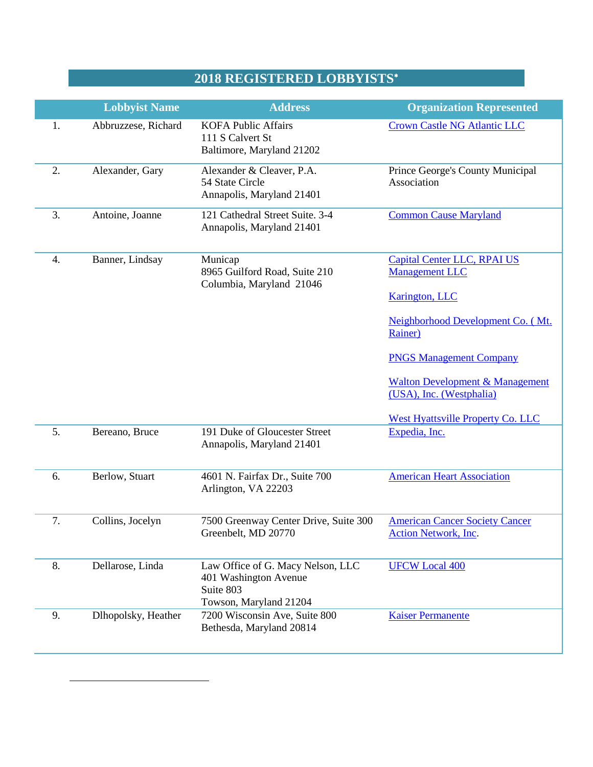## **2018 REGISTERED LOBBYISTS**

|                  | <b>Lobbyist Name</b> | <b>Address</b>                                                                                    | <b>Organization Represented</b>                                        |
|------------------|----------------------|---------------------------------------------------------------------------------------------------|------------------------------------------------------------------------|
| 1.               | Abbruzzese, Richard  | <b>KOFA Public Affairs</b><br>111 S Calvert St<br>Baltimore, Maryland 21202                       | <b>Crown Castle NG Atlantic LLC</b>                                    |
| 2.               | Alexander, Gary      | Alexander & Cleaver, P.A.<br>54 State Circle<br>Annapolis, Maryland 21401                         | Prince George's County Municipal<br>Association                        |
| 3.               | Antoine, Joanne      | 121 Cathedral Street Suite. 3-4<br>Annapolis, Maryland 21401                                      | <b>Common Cause Maryland</b>                                           |
| $\overline{4}$ . | Banner, Lindsay      | Municap<br>8965 Guilford Road, Suite 210<br>Columbia, Maryland 21046                              | Capital Center LLC, RPAI US<br><b>Management LLC</b>                   |
|                  |                      |                                                                                                   | <b>Karington</b> , LLC                                                 |
|                  |                      |                                                                                                   | Neighborhood Development Co. (Mt.<br>Rainer)                           |
|                  |                      |                                                                                                   | <b>PNGS Management Company</b>                                         |
|                  |                      |                                                                                                   | <b>Walton Development &amp; Management</b><br>(USA), Inc. (Westphalia) |
|                  |                      |                                                                                                   | <b>West Hyattsville Property Co. LLC</b>                               |
| 5.               | Bereano, Bruce       | 191 Duke of Gloucester Street<br>Annapolis, Maryland 21401                                        | Expedia, Inc.                                                          |
| 6.               | Berlow, Stuart       | 4601 N. Fairfax Dr., Suite 700<br>Arlington, VA 22203                                             | <b>American Heart Association</b>                                      |
| 7.               | Collins, Jocelyn     | 7500 Greenway Center Drive, Suite 300<br>Greenbelt, MD 20770                                      | <b>American Cancer Society Cancer</b><br><b>Action Network, Inc.</b>   |
| 8.               | Dellarose, Linda     | Law Office of G. Macy Nelson, LLC<br>401 Washington Avenue<br>Suite 803<br>Towson, Maryland 21204 | <b>UFCW Local 400</b>                                                  |
| 9.               | Dlhopolsky, Heather  | 7200 Wisconsin Ave, Suite 800<br>Bethesda, Maryland 20814                                         | <b>Kaiser Permanente</b>                                               |

 $\overline{a}$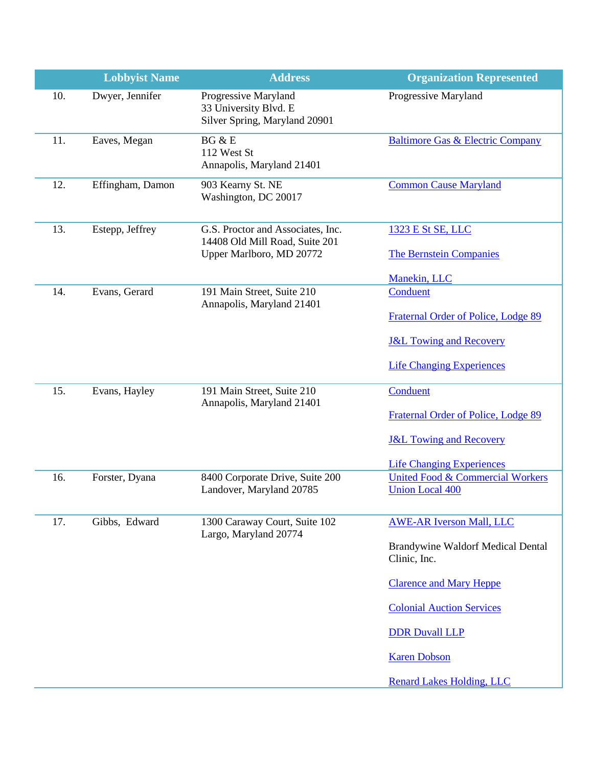|     | <b>Lobbyist Name</b> | <b>Address</b>                                                                                  | <b>Organization Represented</b>                                                                                                                                                                                                                       |
|-----|----------------------|-------------------------------------------------------------------------------------------------|-------------------------------------------------------------------------------------------------------------------------------------------------------------------------------------------------------------------------------------------------------|
| 10. | Dwyer, Jennifer      | Progressive Maryland<br>33 University Blvd. E<br>Silver Spring, Maryland 20901                  | Progressive Maryland                                                                                                                                                                                                                                  |
| 11. | Eaves, Megan         | BG & E<br>112 West St<br>Annapolis, Maryland 21401                                              | <b>Baltimore Gas &amp; Electric Company</b>                                                                                                                                                                                                           |
| 12. | Effingham, Damon     | 903 Kearny St. NE<br>Washington, DC 20017                                                       | <b>Common Cause Maryland</b>                                                                                                                                                                                                                          |
| 13. | Estepp, Jeffrey      | G.S. Proctor and Associates, Inc.<br>14408 Old Mill Road, Suite 201<br>Upper Marlboro, MD 20772 | 1323 E St SE, LLC<br><b>The Bernstein Companies</b><br>Manekin, LLC                                                                                                                                                                                   |
| 14. | Evans, Gerard        | 191 Main Street, Suite 210<br>Annapolis, Maryland 21401                                         | Conduent<br>Fraternal Order of Police, Lodge 89<br><b>J&amp;L Towing and Recovery</b><br><b>Life Changing Experiences</b>                                                                                                                             |
| 15. | Evans, Hayley        | 191 Main Street, Suite 210<br>Annapolis, Maryland 21401                                         | Conduent<br>Fraternal Order of Police, Lodge 89<br><b>J&amp;L Towing and Recovery</b><br><b>Life Changing Experiences</b>                                                                                                                             |
| 16. | Forster, Dyana       | 8400 Corporate Drive, Suite 200<br>Landover, Maryland 20785                                     | <b>United Food &amp; Commercial Workers</b><br><b>Union Local 400</b>                                                                                                                                                                                 |
| 17. | Gibbs, Edward        | 1300 Caraway Court, Suite 102<br>Largo, Maryland 20774                                          | <b>AWE-AR Iverson Mall, LLC</b><br><b>Brandywine Waldorf Medical Dental</b><br>Clinic, Inc.<br><b>Clarence and Mary Heppe</b><br><b>Colonial Auction Services</b><br><b>DDR Duvall LLP</b><br><b>Karen Dobson</b><br><b>Renard Lakes Holding, LLC</b> |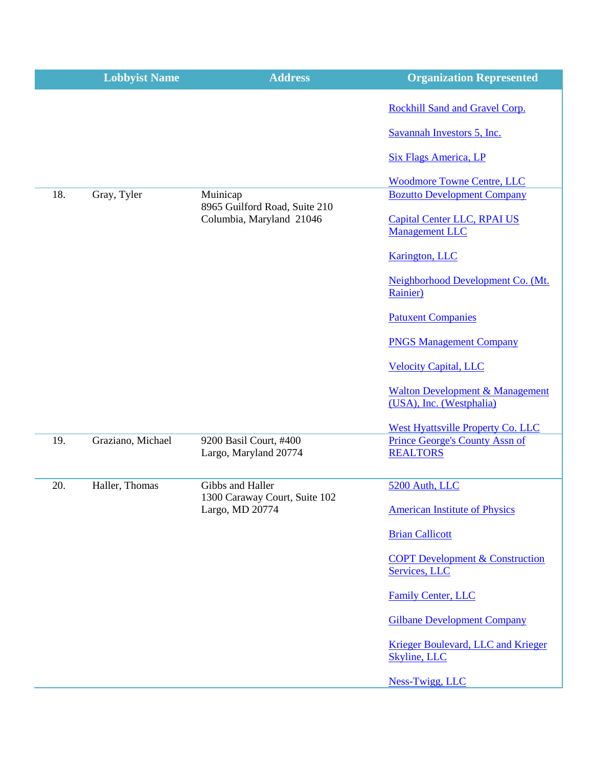|     | <b>Lobbyist Name</b> | <b>Address</b>                                                        | <b>Organization Represented</b>                                        |
|-----|----------------------|-----------------------------------------------------------------------|------------------------------------------------------------------------|
|     |                      |                                                                       | Rockhill Sand and Gravel Corp.                                         |
|     |                      |                                                                       | Savannah Investors 5, Inc.                                             |
|     |                      |                                                                       | <b>Six Flags America, LP</b>                                           |
|     |                      |                                                                       | <b>Woodmore Towne Centre, LLC</b>                                      |
| 18. | Gray, Tyler          | Muinicap<br>8965 Guilford Road, Suite 210<br>Columbia, Maryland 21046 | <b>Bozutto Development Company</b>                                     |
|     |                      |                                                                       | <b>Capital Center LLC, RPAI US</b><br><b>Management LLC</b>            |
|     |                      |                                                                       | <b>Karington</b> , LLC                                                 |
|     |                      |                                                                       | Neighborhood Development Co. (Mt.<br>Rainier)                          |
|     |                      |                                                                       | <b>Patuxent Companies</b>                                              |
|     |                      |                                                                       | <b>PNGS Management Company</b>                                         |
|     |                      |                                                                       | <b>Velocity Capital, LLC</b>                                           |
|     |                      |                                                                       | <b>Walton Development &amp; Management</b><br>(USA), Inc. (Westphalia) |
|     |                      |                                                                       | <b>West Hyattsville Property Co. LLC</b>                               |
| 19. | Graziano, Michael    | 9200 Basil Court, #400<br>Largo, Maryland 20774                       | <b>Prince George's County Assn of</b><br><b>REALTORS</b>               |
| 20. | Haller, Thomas       | Gibbs and Haller                                                      | 5200 Auth, LLC                                                         |
|     |                      | 1300 Caraway Court, Suite 102<br>Largo, MD 20774                      | <b>American Institute of Physics</b>                                   |
|     |                      |                                                                       | <b>Brian Callicott</b>                                                 |
|     |                      |                                                                       | <b>COPT</b> Development & Construction<br>Services, LLC                |
|     |                      |                                                                       | <b>Family Center, LLC</b>                                              |
|     |                      |                                                                       | <b>Gilbane Development Company</b>                                     |
|     |                      |                                                                       | <b>Krieger Boulevard, LLC and Krieger</b><br><b>Skyline</b> , LLC      |
|     |                      |                                                                       | Ness-Twigg, LLC                                                        |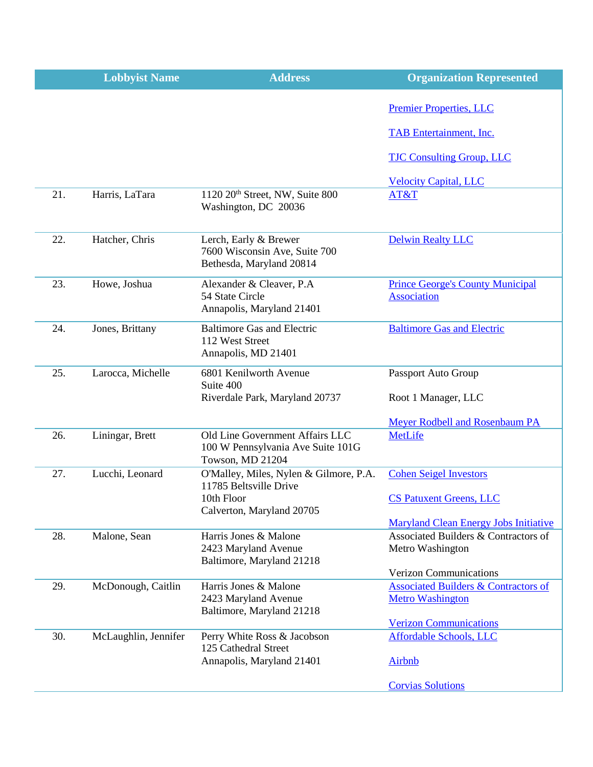|     | <b>Lobbyist Name</b> | <b>Address</b>                                                                           | <b>Organization Represented</b>                               |
|-----|----------------------|------------------------------------------------------------------------------------------|---------------------------------------------------------------|
|     |                      |                                                                                          | <b>Premier Properties, LLC</b>                                |
|     |                      |                                                                                          | <b>TAB</b> Entertainment, Inc.                                |
|     |                      |                                                                                          | <b>TJC Consulting Group, LLC</b>                              |
|     |                      |                                                                                          | <b>Velocity Capital, LLC</b>                                  |
| 21. | Harris, LaTara       | 1120 20 <sup>th</sup> Street, NW, Suite 800<br>Washington, DC 20036                      | AT&T                                                          |
| 22. | Hatcher, Chris       | Lerch, Early & Brewer<br>7600 Wisconsin Ave, Suite 700<br>Bethesda, Maryland 20814       | <b>Delwin Realty LLC</b>                                      |
| 23. | Howe, Joshua         | Alexander & Cleaver, P.A.<br>54 State Circle<br>Annapolis, Maryland 21401                | <b>Prince George's County Municipal</b><br><b>Association</b> |
| 24. | Jones, Brittany      | <b>Baltimore Gas and Electric</b><br>112 West Street<br>Annapolis, MD 21401              | <b>Baltimore Gas and Electric</b>                             |
| 25. | Larocca, Michelle    | 6801 Kenilworth Avenue<br>Suite 400<br>Riverdale Park, Maryland 20737                    | Passport Auto Group<br>Root 1 Manager, LLC                    |
|     |                      |                                                                                          | <b>Meyer Rodbell and Rosenbaum PA</b>                         |
| 26. | Liningar, Brett      | Old Line Government Affairs LLC<br>100 W Pennsylvania Ave Suite 101G<br>Towson, MD 21204 | MetLife                                                       |
| 27. | Lucchi, Leonard      | O'Malley, Miles, Nylen & Gilmore, P.A.                                                   | <b>Cohen Seigel Investors</b>                                 |
|     |                      | 11785 Beltsville Drive<br>10th Floor<br>Calverton, Maryland 20705                        | <b>CS Patuxent Greens, LLC</b>                                |
|     |                      |                                                                                          | <b>Maryland Clean Energy Jobs Initiative</b>                  |
| 28. | Malone, Sean         | Harris Jones & Malone<br>2423 Maryland Avenue                                            | Associated Builders & Contractors of<br>Metro Washington      |
|     |                      | Baltimore, Maryland 21218                                                                |                                                               |
|     |                      |                                                                                          | <b>Verizon Communications</b>                                 |
| 29. | McDonough, Caitlin   | Harris Jones & Malone                                                                    | <b>Associated Builders &amp; Contractors of</b>               |
|     |                      | 2423 Maryland Avenue<br>Baltimore, Maryland 21218                                        | <b>Metro Washington</b>                                       |
|     |                      |                                                                                          | <b>Verizon Communications</b>                                 |
| 30. | McLaughlin, Jennifer | Perry White Ross & Jacobson                                                              | <b>Affordable Schools, LLC</b>                                |
|     |                      | 125 Cathedral Street<br>Annapolis, Maryland 21401                                        | <b>Airbnb</b>                                                 |
|     |                      |                                                                                          | <b>Corvias Solutions</b>                                      |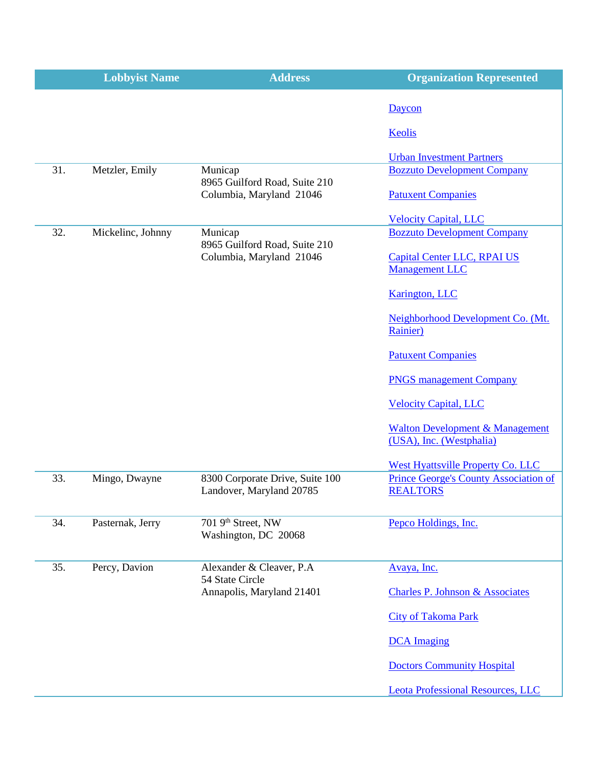|     | <b>Lobbyist Name</b> | <b>Address</b>                                            | <b>Organization Represented</b>                                                          |
|-----|----------------------|-----------------------------------------------------------|------------------------------------------------------------------------------------------|
|     |                      |                                                           | Daycon                                                                                   |
|     |                      |                                                           | Keolis                                                                                   |
|     |                      |                                                           | <b>Urban Investment Partners</b>                                                         |
| 31. | Metzler, Emily       | Municap                                                   | <b>Bozzuto Development Company</b>                                                       |
|     |                      | 8965 Guilford Road, Suite 210<br>Columbia, Maryland 21046 | <b>Patuxent Companies</b>                                                                |
|     |                      |                                                           | <b>Velocity Capital, LLC</b>                                                             |
| 32. | Mickelinc, Johnny    | Municap<br>8965 Guilford Road, Suite 210                  | <b>Bozzuto Development Company</b>                                                       |
|     |                      | Columbia, Maryland 21046                                  | <b>Capital Center LLC, RPAI US</b><br><b>Management LLC</b>                              |
|     |                      |                                                           | <b>Karington</b> , LLC                                                                   |
|     |                      |                                                           | Neighborhood Development Co. (Mt.<br>Rainier)                                            |
|     |                      |                                                           | <b>Patuxent Companies</b>                                                                |
|     |                      |                                                           | <b>PNGS</b> management Company                                                           |
|     |                      |                                                           | <b>Velocity Capital, LLC</b>                                                             |
|     |                      |                                                           | <b>Walton Development &amp; Management</b><br>(USA), Inc. (Westphalia)                   |
|     |                      |                                                           |                                                                                          |
| 33. | Mingo, Dwayne        | 8300 Corporate Drive, Suite 100                           | <b>West Hyattsville Property Co. LLC</b><br><b>Prince George's County Association of</b> |
|     |                      | Landover, Maryland 20785                                  | <b>REALTORS</b>                                                                          |
| 34. | Pasternak, Jerry     | 701 9th Street, NW<br>Washington, DC 20068                | Pepco Holdings, Inc.                                                                     |
| 35. | Percy, Davion        | Alexander & Cleaver, P.A.<br>54 State Circle              | Avaya, Inc.                                                                              |
|     |                      | Annapolis, Maryland 21401                                 | <b>Charles P. Johnson &amp; Associates</b>                                               |
|     |                      |                                                           | <b>City of Takoma Park</b>                                                               |
|     |                      |                                                           | <b>DCA</b> Imaging                                                                       |
|     |                      |                                                           | <b>Doctors Community Hospital</b>                                                        |
|     |                      |                                                           | <b>Leota Professional Resources, LLC</b>                                                 |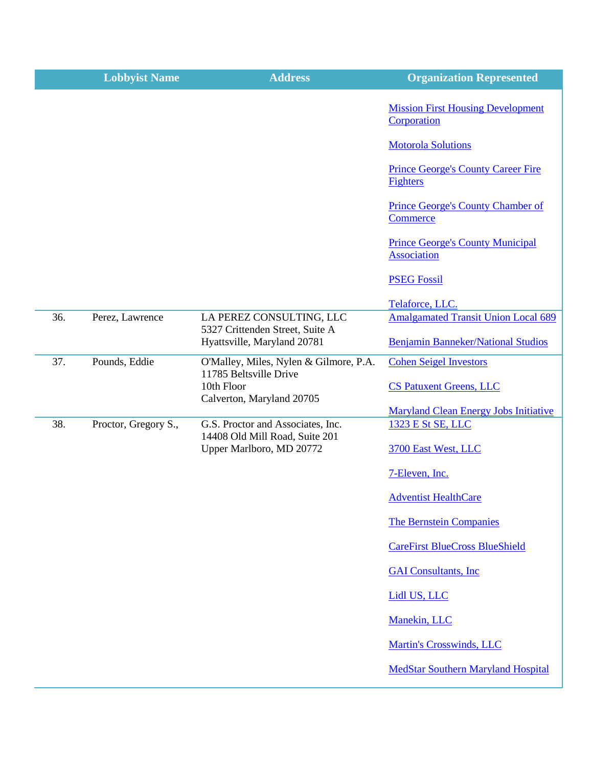|     | <b>Lobbyist Name</b> | <b>Address</b>                                                                                              | <b>Organization Represented</b>                               |
|-----|----------------------|-------------------------------------------------------------------------------------------------------------|---------------------------------------------------------------|
|     |                      |                                                                                                             | <b>Mission First Housing Development</b><br>Corporation       |
|     |                      |                                                                                                             | <b>Motorola Solutions</b>                                     |
|     |                      |                                                                                                             | <b>Prince George's County Career Fire</b><br><b>Fighters</b>  |
|     |                      |                                                                                                             | <b>Prince George's County Chamber of</b><br>Commerce          |
|     |                      |                                                                                                             | <b>Prince George's County Municipal</b><br><b>Association</b> |
|     |                      |                                                                                                             | <b>PSEG Fossil</b>                                            |
|     |                      |                                                                                                             | Telaforce, LLC.                                               |
| 36. | Perez, Lawrence      | LA PEREZ CONSULTING, LLC<br>5327 Crittenden Street, Suite A<br>Hyattsville, Maryland 20781                  | <b>Amalgamated Transit Union Local 689</b>                    |
|     |                      |                                                                                                             | <b>Benjamin Banneker/National Studios</b>                     |
| 37. | Pounds, Eddie        | O'Malley, Miles, Nylen & Gilmore, P.A.<br>11785 Beltsville Drive<br>10th Floor<br>Calverton, Maryland 20705 | <b>Cohen Seigel Investors</b>                                 |
|     |                      |                                                                                                             | <b>CS Patuxent Greens, LLC</b>                                |
|     |                      |                                                                                                             | <b>Maryland Clean Energy Jobs Initiative</b>                  |
| 38. | Proctor, Gregory S., | G.S. Proctor and Associates, Inc.<br>14408 Old Mill Road, Suite 201                                         | 1323 E St SE, LLC                                             |
|     |                      | Upper Marlboro, MD 20772                                                                                    | 3700 East West, LLC                                           |
|     |                      |                                                                                                             | 7-Eleven, Inc.                                                |
|     |                      |                                                                                                             | <b>Adventist HealthCare</b>                                   |
|     |                      |                                                                                                             | <b>The Bernstein Companies</b>                                |
|     |                      |                                                                                                             | <b>CareFirst BlueCross BlueShield</b>                         |
|     |                      |                                                                                                             | <b>GAI</b> Consultants, Inc.                                  |
|     |                      |                                                                                                             | Lidl US, LLC                                                  |
|     |                      |                                                                                                             | Manekin, LLC                                                  |
|     |                      |                                                                                                             | <b>Martin's Crosswinds, LLC</b>                               |
|     |                      |                                                                                                             | <b>MedStar Southern Maryland Hospital</b>                     |
|     |                      |                                                                                                             |                                                               |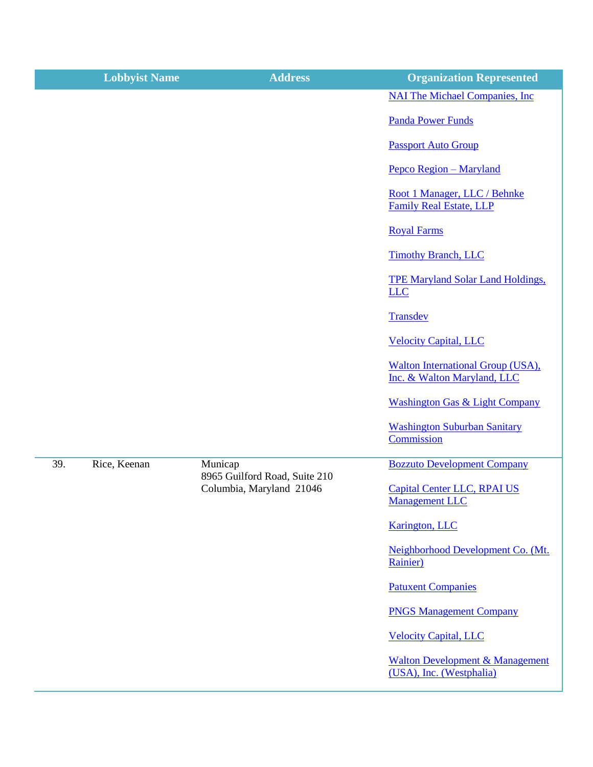|     | <b>Lobbyist Name</b> | <b>Address</b>                                            | <b>Organization Represented</b>                                          |
|-----|----------------------|-----------------------------------------------------------|--------------------------------------------------------------------------|
|     |                      |                                                           | <b>NAI The Michael Companies, Inc.</b>                                   |
|     |                      |                                                           | <b>Panda Power Funds</b>                                                 |
|     |                      |                                                           | <b>Passport Auto Group</b>                                               |
|     |                      |                                                           | Pepco Region - Maryland                                                  |
|     |                      |                                                           | Root 1 Manager, LLC / Behnke<br><b>Family Real Estate, LLP</b>           |
|     |                      |                                                           | <b>Royal Farms</b>                                                       |
|     |                      |                                                           | <b>Timothy Branch, LLC</b>                                               |
|     |                      |                                                           | <b>TPE Maryland Solar Land Holdings,</b><br><b>LLC</b>                   |
|     |                      |                                                           | Transdev                                                                 |
|     |                      |                                                           | <b>Velocity Capital, LLC</b>                                             |
|     |                      |                                                           | <b>Walton International Group (USA)</b> ,<br>Inc. & Walton Maryland, LLC |
|     |                      |                                                           | <b>Washington Gas &amp; Light Company</b>                                |
|     |                      |                                                           | <b>Washington Suburban Sanitary</b><br>Commission                        |
| 39. | Rice, Keenan         | Municap                                                   | <b>Bozzuto Development Company</b>                                       |
|     |                      | 8965 Guilford Road, Suite 210<br>Columbia, Maryland 21046 | Capital Center LLC, RPAI US<br><b>Management LLC</b>                     |
|     |                      |                                                           | <b>Karington</b> , LLC                                                   |
|     |                      |                                                           | Neighborhood Development Co. (Mt.<br><b>Rainier</b> )                    |
|     |                      |                                                           | <b>Patuxent Companies</b>                                                |
|     |                      |                                                           | <b>PNGS Management Company</b>                                           |
|     |                      |                                                           | <b>Velocity Capital, LLC</b>                                             |
|     |                      |                                                           | <b>Walton Development &amp; Management</b><br>(USA), Inc. (Westphalia)   |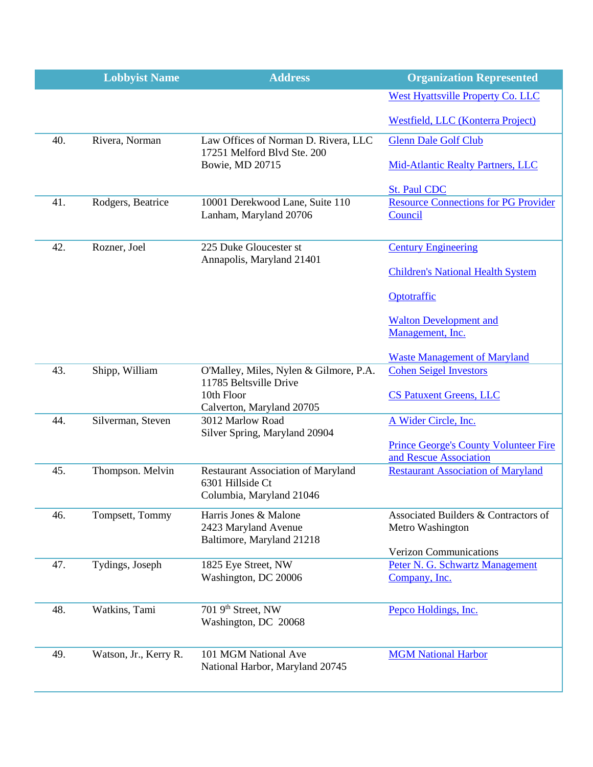|     | <b>Lobbyist Name</b>  | <b>Address</b>                                                                            | <b>Organization Represented</b>                        |
|-----|-----------------------|-------------------------------------------------------------------------------------------|--------------------------------------------------------|
|     |                       |                                                                                           | <b>West Hyattsville Property Co. LLC</b>               |
|     |                       |                                                                                           | Westfield, LLC (Konterra Project)                      |
| 40. | Rivera, Norman        | Law Offices of Norman D. Rivera, LLC                                                      | <b>Glenn Dale Golf Club</b>                            |
|     |                       | 17251 Melford Blvd Ste. 200<br>Bowie, MD 20715                                            | Mid-Atlantic Realty Partners, LLC                      |
|     |                       |                                                                                           | <b>St. Paul CDC</b>                                    |
| 41. | Rodgers, Beatrice     | 10001 Derekwood Lane, Suite 110<br>Lanham, Maryland 20706                                 | <b>Resource Connections for PG Provider</b><br>Council |
| 42. | Rozner, Joel          | 225 Duke Gloucester st                                                                    | <b>Century Engineering</b>                             |
|     |                       | Annapolis, Maryland 21401                                                                 | <b>Children's National Health System</b>               |
|     |                       |                                                                                           | Optotraffic                                            |
|     |                       |                                                                                           | <b>Walton Development and</b>                          |
|     |                       |                                                                                           | Management, Inc.                                       |
|     |                       |                                                                                           | <b>Waste Management of Maryland</b>                    |
| 43. | Shipp, William        | O'Malley, Miles, Nylen & Gilmore, P.A.<br>11785 Beltsville Drive                          | <b>Cohen Seigel Investors</b>                          |
|     |                       | 10th Floor                                                                                | <b>CS Patuxent Greens, LLC</b>                         |
|     |                       | Calverton, Maryland 20705                                                                 |                                                        |
| 44. | Silverman, Steven     | 3012 Marlow Road<br>Silver Spring, Maryland 20904                                         | A Wider Circle, Inc.                                   |
|     |                       |                                                                                           | <b>Prince George's County Volunteer Fire</b>           |
|     |                       |                                                                                           | and Rescue Association                                 |
| 45. | Thompson. Melvin      | <b>Restaurant Association of Maryland</b><br>6301 Hillside Ct<br>Columbia, Maryland 21046 | <b>Restaurant Association of Maryland</b>              |
| 46. | Tompsett, Tommy       | Harris Jones & Malone                                                                     | Associated Builders & Contractors of                   |
|     |                       | 2423 Maryland Avenue<br>Baltimore, Maryland 21218                                         | Metro Washington                                       |
|     |                       |                                                                                           | <b>Verizon Communications</b>                          |
| 47. | Tydings, Joseph       | 1825 Eye Street, NW                                                                       | Peter N. G. Schwartz Management                        |
|     |                       | Washington, DC 20006                                                                      | Company, Inc.                                          |
| 48. | Watkins, Tami         | 701 9th Street, NW<br>Washington, DC 20068                                                | Pepco Holdings, Inc.                                   |
|     |                       |                                                                                           |                                                        |
| 49. | Watson, Jr., Kerry R. | 101 MGM National Ave<br>National Harbor, Maryland 20745                                   | <b>MGM National Harbor</b>                             |
|     |                       |                                                                                           |                                                        |